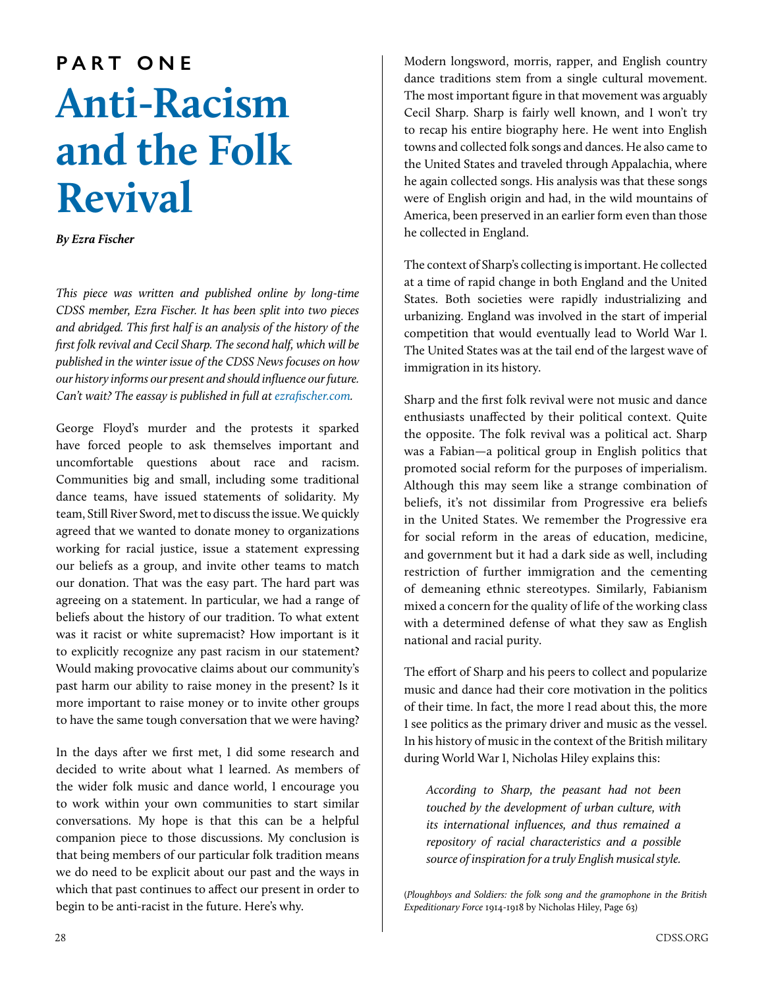## **PART ONE Anti-Racism and the Folk Revival**

*By Ezra Fischer*

*This piece was written and published online by long-time CDSS member, Ezra Fischer. It has been split into two pieces and abridged. This first half is an analysis of the history of the first folk revival and Cecil Sharp. The second half, which will be published in the winter issue of the CDSS News focuses on how our history informs our present and should influence our future. Can't wait? The eassay is published in full at [ezrafischer.com.](http://ezrafischer.com/category/writing/)*

George Floyd's murder and the protests it sparked have forced people to ask themselves important and uncomfortable questions about race and racism. Communities big and small, including some traditional dance teams, have issued statements of solidarity. My team, Still River Sword, met to discuss the issue. We quickly agreed that we wanted to donate money to organizations working for racial justice, issue a statement expressing our beliefs as a group, and invite other teams to match our donation. That was the easy part. The hard part was agreeing on a statement. In particular, we had a range of beliefs about the history of our tradition. To what extent was it racist or white supremacist? How important is it to explicitly recognize any past racism in our statement? Would making provocative claims about our community's past harm our ability to raise money in the present? Is it more important to raise money or to invite other groups to have the same tough conversation that we were having?

In the days after we first met, I did some research and decided to write about what I learned. As members of the wider folk music and dance world, I encourage you to work within your own communities to start similar conversations. My hope is that this can be a helpful companion piece to those discussions. My conclusion is that being members of our particular folk tradition means we do need to be explicit about our past and the ways in which that past continues to affect our present in order to begin to be anti-racist in the future. Here's why.

Modern longsword, morris, rapper, and English country dance traditions stem from a single cultural movement. The most important figure in that movement was arguably Cecil Sharp. Sharp is fairly well known, and I won't try to recap his entire biography here. He went into English towns and collected folk songs and dances. He also came to the United States and traveled through Appalachia, where he again collected songs. His analysis was that these songs were of English origin and had, in the wild mountains of America, been preserved in an earlier form even than those he collected in England.

The context of Sharp's collecting is important. He collected at a time of rapid change in both England and the United States. Both societies were rapidly industrializing and urbanizing. England was involved in the start of imperial competition that would eventually lead to World War I. The United States was at the tail end of the largest wave of immigration in its history.

Sharp and the first folk revival were not music and dance enthusiasts unaffected by their political context. Quite the opposite. The folk revival was a political act. Sharp was a Fabian—a political group in English politics that promoted social reform for the purposes of imperialism. Although this may seem like a strange combination of beliefs, it's not dissimilar from Progressive era beliefs in the United States. We remember the Progressive era for social reform in the areas of education, medicine, and government but it had a dark side as well, including restriction of further immigration and the cementing of demeaning ethnic stereotypes. Similarly, Fabianism mixed a concern for the quality of life of the working class with a determined defense of what they saw as English national and racial purity.

The effort of Sharp and his peers to collect and popularize music and dance had their core motivation in the politics of their time. In fact, the more I read about this, the more I see politics as the primary driver and music as the vessel. In his history of music in the context of the British military during World War I, Nicholas Hiley explains this:

*According to Sharp, the peasant had not been touched by the development of urban culture, with its international influences, and thus remained a repository of racial characteristics and a possible source of inspiration for a truly English musical style.*

(*Ploughboys and Soldiers: the folk song and the gramophone in the British Expeditionary Force* 1914-1918 by Nicholas Hiley, Page 63)